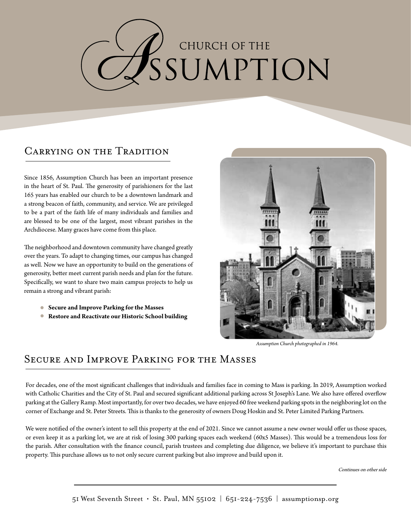# CHURCH OF THE SSUMPTION

#### Carrying on the Tradition

Since 1856, Assumption Church has been an important presence in the heart of St. Paul. The generosity of parishioners for the last 165 years has enabled our church to be a downtown landmark and a strong beacon of faith, community, and service. We are privileged to be a part of the faith life of many individuals and families and are blessed to be one of the largest, most vibrant parishes in the Archdiocese. Many graces have come from this place.

The neighborhood and downtown community have changed greatly over the years. To adapt to changing times, our campus has changed as well. Now we have an opportunity to build on the generations of generosity, better meet current parish needs and plan for the future. Specifically, we want to share two main campus projects to help us remain a strong and vibrant parish:

- **Secure and Improve Parking for the Masses**
- **Restore and Reactivate our Historic School building**



*Assumption Church photographed in 1964.*

#### Secure and Improve Parking for the Masses

For decades, one of the most significant challenges that individuals and families face in coming to Mass is parking. In 2019, Assumption worked with Catholic Charities and the City of St. Paul and secured significant additional parking across St Joseph's Lane. We also have offered overflow parking at the Gallery Ramp. Most importantly, for over two decades, we have enjoyed 60 free weekend parking spots in the neighboring lot on the corner of Exchange and St. Peter Streets. This is thanks to the generosity of owners Doug Hoskin and St. Peter Limited Parking Partners.

We were notified of the owner's intent to sell this property at the end of 2021. Since we cannot assume a new owner would offer us those spaces, or even keep it as a parking lot, we are at risk of losing 300 parking spaces each weekend (60x5 Masses). This would be a tremendous loss for the parish. After consultation with the finance council, parish trustees and completing due diligence, we believe it's important to purchase this property. This purchase allows us to not only secure current parking but also improve and build upon it.

Continues on other side